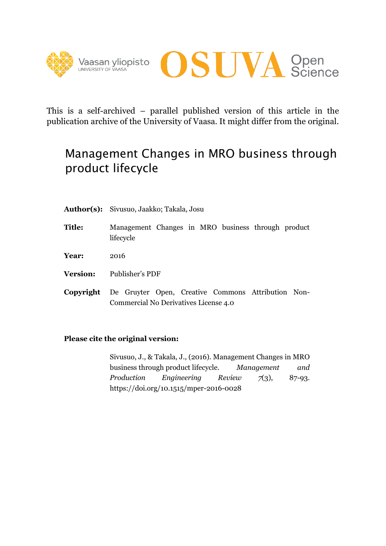



This is a self-archived – parallel published version of this article in the publication archive of the University of Vaasa. It might differ from the original.

# Management Changes in MRO business through product lifecycle

|                 | <b>Author(s):</b> Sivusuo, Jaakko; Takala, Josu                                             |  |  |  |
|-----------------|---------------------------------------------------------------------------------------------|--|--|--|
| <b>Title:</b>   | Management Changes in MRO business through product<br>lifecycle                             |  |  |  |
| Year:           | 2016                                                                                        |  |  |  |
| <b>Version:</b> | Publisher's PDF                                                                             |  |  |  |
| Copyright       | De Gruyter Open, Creative Commons Attribution Non-<br>Commercial No Derivatives License 4.0 |  |  |  |

# **Please cite the original version:**

Sivusuo, J., & Takala, J., (2016). Management Changes in MRO business through product lifecycle. *Management and Production Engineering Review 7*(3), 87-93. https://doi.org/10.1515/mper-2016-0028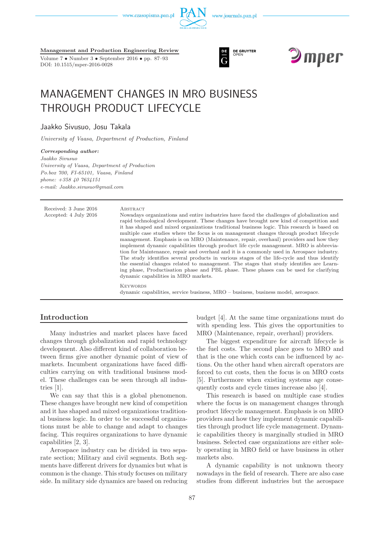

**Management and Production Engineering Review**

Volume 7 • Number 3 • September 2016 • pp. 87–93 DOI: 10.1515/mper-2016-0028





# MANAGEMENT CHANGES IN MRO BUSINESS THROUGH PRODUCT LIFECYCLE

## Jaakko Sivusuo, Josu Takala

*University of Vaasa, Department of Production, Finland*

*Corresponding author:*

*Jaakko Sivusuo University of Vaasa, Department of Production Po.box 700, FI-65101, Vaasa, Finland phone: +358 40 7634151 e-mail: Jaakko.sivusuo@gmail.com*

Received: 3 June 2016 ABSTRACT

Accepted: 4 July 2016 Nowadays organizations and entire industries have faced the challenges of globalization and rapid technological development. These changes have brought new kind of competition and it has shaped and mixed organizations traditional business logic. This research is based on multiple case studies where the focus is on management changes through product lifecycle management. Emphasis is on MRO (Maintenance, repair, overhaul) providers and how they implement dynamic capabilities through product life cycle management. MRO is abbreviation for Maintenance, repair and overhaul and it is a commonly used in Aerospace industry. The study identifies several products in various stages of the life-cycle and thus identify the essential changes related to management. The stages that study identifies are Learning phase, Productisation phase and PBL phase. These phases can be used for clarifying dynamic capabilities in MRO markets.

> **KEYWORDS** dynamic capabilities, service business, MRO – business, business model, aerospace.

### **Introduction**

Many industries and market places have faced changes through globalization and rapid technology development. Also different kind of collaboration between firms give another dynamic point of view of markets. Incumbent organizations have faced difficulties carrying on with traditional business model. These challenges can be seen through all industries [1].

We can say that this is a global phenomenon. These changes have brought new kind of competition and it has shaped and mixed organizations traditional business logic. In order to be successful organizations must be able to change and adapt to changes facing. This requires organizations to have dynamic capabilities [2, 3].

Aerospace industry can be divided in two separate section; Military and civil segments. Both segments have different drivers for dynamics but what is common is the change. This study focuses on military side. In military side dynamics are based on reducing budget [4]. At the same time organizations must do with spending less. This gives the opportunities to MRO (Maintenance, repair, overhaul) providers.

The biggest expenditure for aircraft lifecycle is the fuel costs. The second place goes to MRO and that is the one which costs can be influenced by actions. On the other hand when aircraft operators are forced to cut costs, then the focus is on MRO costs [5]. Furthermore when existing systems age consequently costs and cycle times increase also [4].

This research is based on multiple case studies where the focus is on management changes through product lifecycle management. Emphasis is on MRO providers and how they implement dynamic capabilities through product life cycle management. Dynamic capabilities theory is marginally studied in MRO business. Selected case organizations are either solely operating in MRO field or have business in other markets also.

A dynamic capability is not unknown theory nowadays in the field of research. There are also case studies from different industries but the aerospace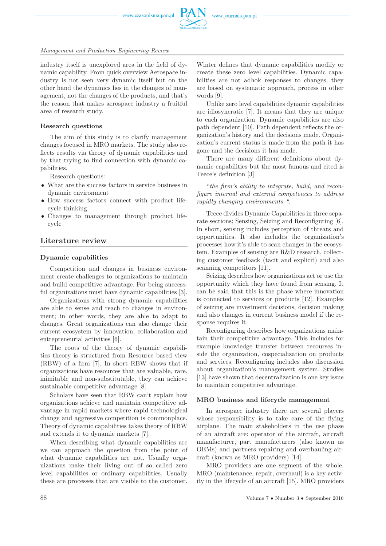

#### *Management and Production Engineering Review*

industry itself is unexplored area in the field of dynamic capability. From quick overview Aerospace industry is not seen very dynamic itself but on the other hand the dynamics lies in the changes of management, not the changes of the products, and that's the reason that makes aerospace industry a fruitful area of research study.

#### **Research questions**

The aim of this study is to clarify management changes focused in MRO markets. The study also reflects results via theory of dynamic capabilities and by that trying to find connection with dynamic capabilities.

Research questions:

- What are the success factors in service business in dynamic environment
- How success factors connect with product lifecycle thinking
- Changes to management through product lifecycle

### **Literature review**

#### **Dynamic capabilities**

Competition and changes in business environment create challenges to organizations to maintain and build competitive advantage. For being successful organizations must have dynamic capabilities [3].

Organizations with strong dynamic capabilities are able to sense and reach to changes in environment; in other words, they are able to adapt to changes. Great organizations can also change their current ecosystem by innovation, collaboration and entrepreneurial activities [6].

The roots of the theory of dynamic capabilities theory is structured from Resource based view (RBW) of a firm [7]. In short RBW shows that if organizations have resources that are valuable, rare, inimitable and non-substitutable, they can achieve sustainable competitive advantage [8].

Scholars have seen that RBW can't explain how organizations achieve and maintain competitive advantage in rapid markets where rapid technological change and aggressive competition is commonplace. Theory of dynamic capabilities takes theory of RBW and extends it to dynamic markets [7].

When describing what dynamic capabilities are we can approach the question from the point of what dynamic capabilities are not. Usually organizations make their living out of so called zero level capabilities or ordinary capabilities. Usually these are processes that are visible to the customer.

Winter defines that dynamic capabilities modify or create these zero level capabilities. Dynamic capabilities are not adhok responses to changes, they are based on systematic approach, process in other words [9].

Unlike zero level capabilities dynamic capabilities are idiosyncratic [7]. It means that they are unique to each organization. Dynamic capabilities are also path dependent [10]. Path dependent reflects the organization's history and the decisions made. Organization's current status is made from the path it has gone and the decisions it has made.

There are many different definitions about dynamic capabilities but the most famous and cited is Teece's definition [3]

"*the firm's ability to integrate, build, and reconfigure internal and external competences to address rapidly changing environments "*.

Teece divides Dynamic Capabilities in three separate sections; Sensing, Seizing and Reconfiguring [6]. In short, sensing includes perception of threats and opportunities. It also includes the organization's processes how it's able to scan changes in the ecosystem. Examples of sensing are R&D research, collecting customer feedback (tacit and explicit) and also scanning competitors [11].

Seizing describes how organizations act or use the opportunity which they have found from sensing. It can be said that this is the phase where innovation is connected to services or products [12]. Examples of seizing are investment decisions, decision making and also changes in current business model if the response requires it.

Reconfiguring describes how organizations maintain their competitive advantage. This includes for example knowledge transfer between recourses inside the organization, cospecialization on products and services. Reconfiguring includes also discussion about organization's management system. Studies [13] have shown that decentralization is one key issue to maintain competitive advantage.

#### **MRO business and lifecycle management**

In aerospace industry there are several players whose responsibility is to take care of the flying airplane. The main stakeholders in the use phase of an aircraft are: operator of the aircraft, aircraft manufacturer, part manufacturers (also known as OEMs) and partners repairing and overhauling aircraft (known as MRO providers) [14].

MRO providers are one segment of the whole. MRO (maintenance, repair, overhaul) is a key activity in the lifecycle of an aircraft [15]. MRO providers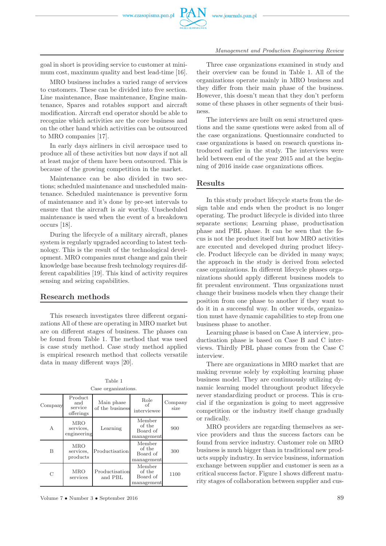

*Management and Production Engineering Review*

goal in short is providing service to customer at minimum cost, maximum quality and best lead-time [16].

MRO business includes a varied range of services to customers. These can be divided into five section. Line maintenance, Base maintenance, Engine maintenance, Spares and rotables support and aircraft modification. Aircraft end operator should be able to recognize which activities are the core business and on the other hand which activities can be outsourced to MRO companies [17].

In early days airliners in civil aerospace used to produce all of these activities but now days if not all at least major of them have been outsourced. This is because of the growing competition in the market.

Maintenance can be also divided in two sections; scheduled maintenance and unscheduled maintenance. Scheduled maintenance is preventive form of maintenance and it's done by pre-set intervals to ensure that the aircraft is air worthy. Unscheduled maintenance is used when the event of a breakdown occurs [18].

During the lifecycle of a military aircraft, planes system is regularly upgraded according to latest technology. This is the result of the technological development. MRO companies must change and gain their knowledge base because fresh technology requires different capabilities [19]. This kind of activity requires sensing and seizing capabilities.

#### **Research methods**

This research investigates three different organizations All of these are operating in MRO market but are on different stages of business. The phases can be found from Table 1. The method that was used is case study method. Case study method applied is empirical research method that collects versatile data in many different ways [20].

| Table 1 |                     |
|---------|---------------------|
|         | Case organizations. |

| Company | Product<br>and<br>service<br>offerings | Main phase<br>of the business | Role<br>οf<br>interviewee                  | Company<br>size |
|---------|----------------------------------------|-------------------------------|--------------------------------------------|-----------------|
| A       | <b>MRO</b><br>services,<br>engineering | Learning                      | Member<br>of the<br>Board of<br>management | 900             |
| B       | <b>MRO</b><br>services,<br>products    | Productisation                | Member<br>of the<br>Board of<br>management | 300             |
| C       | <b>MRO</b><br>services                 | Productisation<br>and PBL     | Member<br>of the<br>Board of<br>management | 1100            |

Volume 7 • Number 3 • September 2016 89

Three case organizations examined in study and their overview can be found in Table 1. All of the organizations operate mainly in MRO business and they differ from their main phase of the business. However, this doesn't mean that they don't perform some of these phases in other segments of their business.

The interviews are built on semi structured questions and the same questions were asked from all of the case organizations. Questionnaire conducted to case organizations is based on research questions introduced earlier in the study. The interviews were held between end of the year 2015 and at the beginning of 2016 inside case organizations offices.

#### **Results**

In this study product lifecycle starts from the design table and ends when the product is no longer operating. The product lifecycle is divided into three separate sections; Learning phase, productisation phase and PBL phase. It can be seen that the focus is not the product itself but how MRO activities are executed and developed during product lifecycle. Product lifecycle can be divided in many ways; the approach in the study is derived from selected case organizations. In different lifecycle phases organizations should apply different business models to fit prevalent environment. Thus organizations must change their business models when they change their position from one phase to another if they want to do it in a successful way. In other words, organization must have dynamic capabilities to step from one business phase to another.

Learning phase is based on Case A interview, productisation phase is based on Case B and C interviews. Thirdly PBL phase comes from the Case C interview.

There are organizations in MRO market that are making revenue solely by exploiting learning phase business model. They are continuously utilizing dynamic learning model throughout product lifecycle never standardizing product or process. This is crucial if the organization is going to meet aggressive competition or the industry itself change gradually or radically.

MRO providers are regarding themselves as service providers and thus the success factors can be found from service industry. Customer role on MRO business is much bigger than in traditional new products supply industry. In service business, information exchange between supplier and customer is seen as a critical success factor. Figure 1 shows different maturity stages of collaboration between supplier and cus-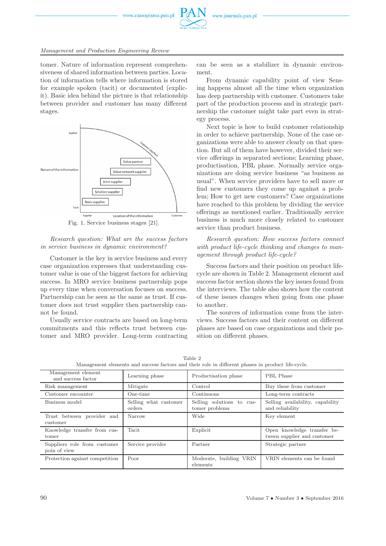

#### *Management and Production Engineering Review*

tomer. Nature of information represent comprehensiveness of shared information between parties. Location of information tells where information is stored for example spoken (tacit) or documented (explicit). Basic idea behind the picture is that relationship between provider and customer has many different stages.



Fig. 1. Service business stages [21].

### *Research question: What are the success factors in service business in dynamic environment?*

Customer is the key in service business and every case organization expresses that understanding customer value is one of the biggest factors for achieving success. In MRO service business partnership pops up every time when conversation focuses on success. Partnership can be seen as the same as trust. If customer does not trust supplier then partnership cannot be found.

Usually service contracts are based on long-term commitments and this reflects trust between customer and MRO provider. Long-term contracting can be seen as a stabilizer in dynamic environment.

From dynamic capability point of view Sensing happens almost all the time when organization has deep partnership with customer. Customers take part of the production process and in strategic partnership the customer might take part even in strategy process.

Next topic is how to build customer relationship in order to achieve partnership. None of the case organizations were able to answer clearly on that question. But all of them have however, divided their service offerings in separated sections; Learning phase, productisation, PBL phase. Normally service organizations are doing service business "as business as usual". When service providers have to sell more or find new customers they come up against a problem; How to get new customers? Case organizations have reached to this problem by dividing the service offerings as mentioned earlier. Traditionally service business is much more closely related to customer service than product business.

*Research question: How success factors connect with product life-cycle thinking and changes to management through product life-cycle?*

Success factors and their position on product lifecycle are shown in Table 2. Management element and success factor section shows the key issues found from the interviews. The table also shows how the content of these issues changes when going from one phase to another.

The sources of information come from the interviews. Success factors and their content on different phases are based on case organizations and their position on different phases.

| Management element<br>and success factor     | Learning phase                  | Productisation phase                        | PBL Phase                                                  |
|----------------------------------------------|---------------------------------|---------------------------------------------|------------------------------------------------------------|
| Risk management                              | Mitigate                        | Control                                     | Buy these from customer                                    |
| Customer encounter                           | One-time                        | Continuous                                  | Long-term contracts                                        |
| Business model                               | Selling what customer<br>orders | Selling solutions to cus-<br>tomer problems | Selling availability, capability<br>and reliability        |
| Trust between provider and<br>customer       | Narrow                          | Wide                                        | Key element                                                |
| Knowledge transfer from cus-<br>tomer        | Tacit                           | Explicit                                    | Open knowledge transfer be-<br>tween supplier and customer |
| Suppliers role from customer<br>poin of view | Service provider                | Partner                                     | Strategic partner                                          |
| Protection against competition               | Poor                            | Moderate, building VRIN<br>elements         | VRIN elements can be found                                 |

Table 2 Management elements and success factors and their role in different phases in product life-cycle.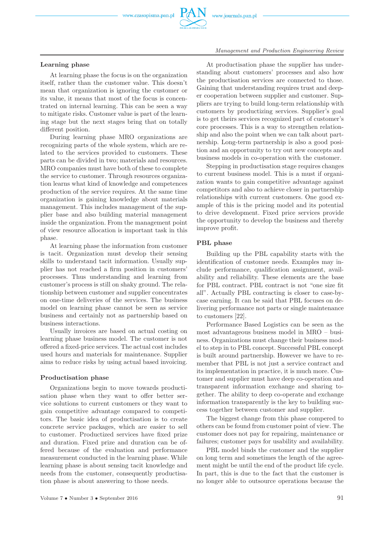

#### *Management and Production Engineering Review*

#### **Learning phase**

At learning phase the focus is on the organization itself, rather than the customer value. This doesn't mean that organization is ignoring the customer or its value, it means that most of the focus is concentrated on internal learning. This can be seen a way to mitigate risks. Customer value is part of the learning stage but the next stages bring that on totally different position.

During learning phase MRO organizations are recognizing parts of the whole system, which are related to the services provided to customers. These parts can be divided in two; materials and resources. MRO companies must have both of these to complete the service to customer. Through resources organization learns what kind of knowledge and competences production of the service requires. At the same time organization is gaining knowledge about materials management. This includes management of the supplier base and also building material management inside the organization. From the management point of view resource allocation is important task in this phase.

At learning phase the information from customer is tacit. Organization must develop their sensing skills to understand tacit information. Usually supplier has not reached a firm position in customers' processes. Thus understanding and learning from customer's process is still on shaky ground. The relationship between customer and supplier concentrates on one-time deliveries of the services. The business model on learning phase cannot be seen as service business and certainly not as partnership based on business interactions.

Usually invoices are based on actual costing on learning phase business model. The customer is not offered a fixed-price services. The actual cost includes used hours and materials for maintenance. Supplier aims to reduce risks by using actual based invoicing.

#### **Productisation phase**

Organizations begin to move towards productisation phase when they want to offer better service solutions to current customers or they want to gain competitive advantage compared to competitors. The basic idea of productisation is to create concrete service packages, which are easier to sell to customer. Productized services have fixed prize and duration. Fixed prize and duration can be offered because of the evaluation and performance measurement conducted in the learning phase. While learning phase is about sensing tacit knowledge and needs from the customer, consequently productisation phase is about answering to those needs.

At productisation phase the supplier has understanding about customers' processes and also how the productisation services are connected to those. Gaining that understanding requires trust and deeper cooperation between supplier and customer. Suppliers are trying to build long-term relationship with customers by productizing services. Supplier's goal is to get theirs services recognized part of customer's core processes. This is a way to strengthen relationship and also the point when we can talk about partnership. Long-term partnership is also a good position and an opportunity to try out new concepts and business models in co-operation with the customer.

Stepping in productisation stage requires changes to current business model. This is a must if organization wants to gain competitive advantage against competitors and also to achieve closer in partnership relationships with current customers. One good example of this is the pricing model and its potential to drive development. Fixed price services provide the opportunity to develop the business and thereby improve profit.

#### **PBL phase**

Building up the PBL capability starts with the identification of customer needs. Examples may include performance, qualification assignment, availability and reliability. These elements are the base for PBL contract. PBL contract is not "one size fit all". Actually PBL contracting is closer to case-bycase earning. It can be said that PBL focuses on delivering performance not parts or single maintenance to customers [22].

Performance Based Logistics can be seen as the most advantageous business model in MRO – business. Organizations must change their business model to step in to PBL concept. Successful PBL concept is built around partnership. However we have to remember that PBL is not just a service contract and its implementation in practice, it is much more. Customer and supplier must have deep co-operation and transparent information exchange and sharing together. The ability to deep co-operate and exchange information transparently is the key to building success together between customer and supplier.

The biggest change from this phase compered to others can be found from customer point of view. The customer does not pay for repairing, maintenance or failures; customer pays for usability and availability.

PBL model binds the customer and the supplier on long term and sometimes the length of the agreement might be until the end of the product life cycle. In part, this is due to the fact that the customer is no longer able to outsource operations because the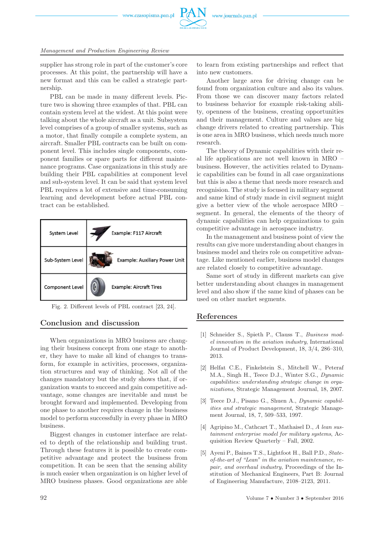#### *Management and Production Engineering Review*

supplier has strong role in part of the customer's core processes. At this point, the partnership will have a new format and this can be called a strategic partnership.

PBL can be made in many different levels. Picture two is showing three examples of that. PBL can contain system level at the widest. At this point were talking about the whole aircraft as a unit. Subsystem level comprises of a group of smaller systems, such as a motor, that finally compile a complete system, an aircraft. Smaller PBL contracts can be built on component level. This includes single components, component families or spare parts for different maintenance programs. Case organizations in this study are building their PBL capabilities at component level and sub-system level. It can be said that system level PBL requires a lot of extensive and time-consuming learning and development before actual PBL contract can be established.



Fig. 2. Different levels of PBL contract [23, 24].

#### **Conclusion and discussion**

When organizations in MRO business are changing their business concept from one stage to another, they have to make all kind of changes to transform, for example in activities, processes, organization structures and way of thinking. Not all of the changes mandatory but the study shows that, if organization wants to succeed and gain competitive advantage, some changes are inevitable and must be brought forward and implemented. Developing from one phase to another requires change in the business model to perform successfully in every phase in MRO business.

Biggest changes in customer interface are related to depth of the relationship and building trust. Through these features it is possible to create competitive advantage and protect the business from competition. It can be seen that the sensing ability is much easier when organization is on higher level of MRO business phases. Good organizations are able

to learn from existing partnerships and reflect that into new customers.

Another large area for driving change can be found from organization culture and also its values. From those we can discover many factors related to business behavior for example risk-taking ability, openness of the business, creating opportunities and their management. Culture and values are big change drivers related to creating partnership. This is one area in MRO business, which needs much more research.

The theory of Dynamic capabilities with their real life applications are not well known in MRO – business. However, the activities related to Dynamic capabilities can be found in all case organizations but this is also a theme that needs more research and recognision. The study is focused in military segment and same kind of study made in civil segment might give a better view of the whole aerospace MRO – segment. In general, the elements of the theory of dynamic capabilities can help organizations to gain competitive advantage in aerospace industry.

In the management and business point of view the results can give more understanding about changes in business model and theirs role on competitive advantage. Like mentioned earlier, business model changes are related closely to competitive advantage.

Same sort of study in different markets can give better understanding about changes in management level and also show if the same kind of phases can be used on other market segments.

#### **References**

- [1] Schneider S., Spieth P., Clauss T., *Business model innovation in the aviation industry*, International Journal of Product Development, 18, 3/4, 286–310, 2013.
- [2] Helfat C.E., Finkelstein S., Mitchell W., Peteraf M.A., Singh H., Teece D.J., Winter S.G., *Dynamic capabilities: understanding strategic change in organizations*, Strategic Management Journal, 18, 2007.
- [3] Teece D.J., Pisano G., Shuen A., *Dynamic capabilities and strategic management*, Strategic Management Journal, 18, 7, 509–533, 1997.
- [4] Agripino M., Cathcart T., Mathaisel D., *A lean sustainment enterprise model for military systems*, Acquisition Review Quarterly – Fall, 2002.
- [5] Ayeni P., Baines T.S., Lightfoot H., Ball P.D., *Stateof-the-art of "Lean" in the aviation maintenance, repair, and overhaul industry*, Proceedings of the Institution of Mechanical Engineers, Part B: Journal of Engineering Manufacture, 2108–2123, 2011.